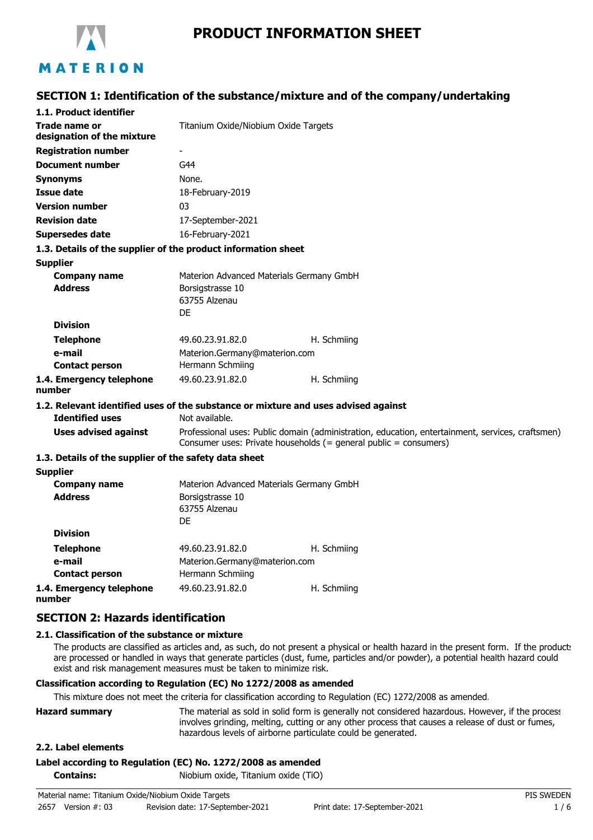

# **PRODUCT INFORMATION SHEET**

## **SECTION 1: Identification of the substance/mixture and of the company/undertaking**

| 1.1. Product identifier                                                            |                                                                                                                                                                      |             |  |
|------------------------------------------------------------------------------------|----------------------------------------------------------------------------------------------------------------------------------------------------------------------|-------------|--|
| Trade name or<br>designation of the mixture                                        | Titanium Oxide/Niobium Oxide Targets                                                                                                                                 |             |  |
| <b>Registration number</b>                                                         | $\overline{\phantom{a}}$                                                                                                                                             |             |  |
| <b>Document number</b>                                                             | G44                                                                                                                                                                  |             |  |
|                                                                                    |                                                                                                                                                                      |             |  |
| <b>Synonyms</b>                                                                    | None.                                                                                                                                                                |             |  |
| Issue date                                                                         | 18-February-2019                                                                                                                                                     |             |  |
| <b>Version number</b>                                                              | 03                                                                                                                                                                   |             |  |
| <b>Revision date</b>                                                               | 17-September-2021                                                                                                                                                    |             |  |
| <b>Supersedes date</b>                                                             | 16-February-2021                                                                                                                                                     |             |  |
| 1.3. Details of the supplier of the product information sheet                      |                                                                                                                                                                      |             |  |
| <b>Supplier</b>                                                                    |                                                                                                                                                                      |             |  |
| <b>Company name</b>                                                                | Materion Advanced Materials Germany GmbH                                                                                                                             |             |  |
| <b>Address</b><br>Borsigstrasse 10                                                 |                                                                                                                                                                      |             |  |
|                                                                                    | 63755 Alzenau<br>DF                                                                                                                                                  |             |  |
| <b>Division</b>                                                                    |                                                                                                                                                                      |             |  |
| <b>Telephone</b>                                                                   | 49.60.23.91.82.0                                                                                                                                                     | H. Schmiing |  |
| e-mail                                                                             | Materion.Germany@materion.com                                                                                                                                        |             |  |
| <b>Contact person</b>                                                              | Hermann Schmiing                                                                                                                                                     |             |  |
| 1.4. Emergency telephone                                                           | 49.60.23.91.82.0                                                                                                                                                     | H. Schmiing |  |
| number                                                                             |                                                                                                                                                                      |             |  |
| 1.2. Relevant identified uses of the substance or mixture and uses advised against |                                                                                                                                                                      |             |  |
| <b>Identified uses</b>                                                             | Not available.                                                                                                                                                       |             |  |
| <b>Uses advised against</b>                                                        | Professional uses: Public domain (administration, education, entertainment, services, craftsmen)<br>Consumer uses: Private households (= general public = consumers) |             |  |
| 1.3. Details of the supplier of the safety data sheet                              |                                                                                                                                                                      |             |  |
| <b>Supplier</b>                                                                    |                                                                                                                                                                      |             |  |
| <b>Company name</b>                                                                | Materion Advanced Materials Germany GmbH                                                                                                                             |             |  |
| <b>Address</b><br>Borsigstrasse 10                                                 |                                                                                                                                                                      |             |  |
|                                                                                    | 63755 Alzenau                                                                                                                                                        |             |  |
|                                                                                    | DF                                                                                                                                                                   |             |  |
| <b>Division</b>                                                                    |                                                                                                                                                                      |             |  |
| <b>Telephone</b>                                                                   | 49.60.23.91.82.0                                                                                                                                                     | H. Schmiing |  |
| e-mail                                                                             | Materion.Germany@materion.com                                                                                                                                        |             |  |
| <b>Contact person</b>                                                              | Hermann Schmiing                                                                                                                                                     |             |  |

**1.4. Emergency telephone number**

## **SECTION 2: Hazards identification**

#### **2.1. Classification of the substance or mixture**

The products are classified as articles and, as such, do not present a physical or health hazard in the present form. If the product: are processed or handled in ways that generate particles (dust, fume, particles and/or powder), a potential health hazard could exist and risk management measures must be taken to minimize risk.

### **Classification according to Regulation (EC) No 1272/2008 as amended**

This mixture does not meet the criteria for classification according to Regulation (EC) 1272/2008 as amended.

49.60.23.91.82.0 H. Schmiing

| <b>Hazard summary</b>                                        | The material as sold in solid form is generally not considered hazardous. However, if the process |
|--------------------------------------------------------------|---------------------------------------------------------------------------------------------------|
|                                                              | involves grinding, melting, cutting or any other process that causes a release of dust or fumes,  |
| hazardous levels of airborne particulate could be generated. |                                                                                                   |

#### **2.2. Label elements**

### **Label according to Regulation (EC) No. 1272/2008 as amended**

**Contains:** Niobium oxide, Titanium oxide (TiO)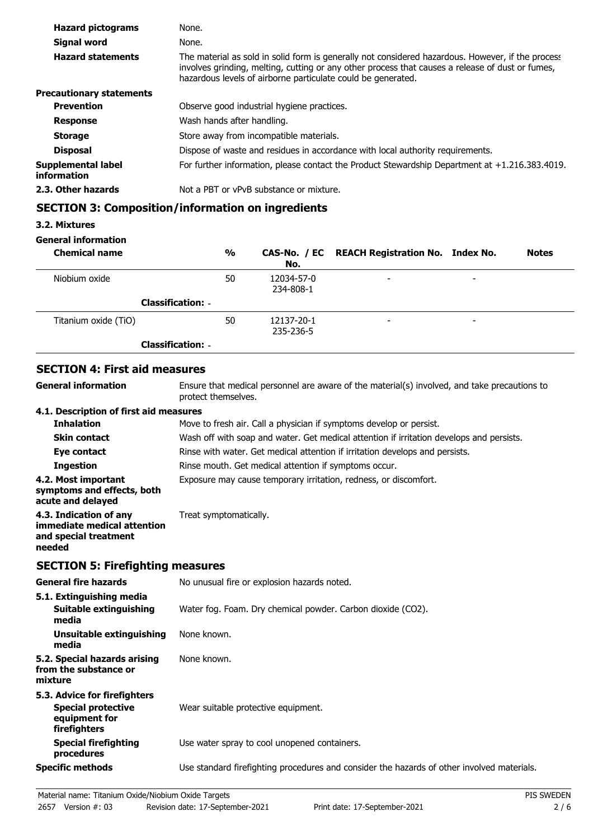| <b>Hazard pictograms</b>          | None.                                                                                                                                                                                                                                                                 |  |
|-----------------------------------|-----------------------------------------------------------------------------------------------------------------------------------------------------------------------------------------------------------------------------------------------------------------------|--|
| Signal word                       | None.                                                                                                                                                                                                                                                                 |  |
| <b>Hazard statements</b>          | The material as sold in solid form is generally not considered hazardous. However, if the process<br>involves grinding, melting, cutting or any other process that causes a release of dust or fumes,<br>hazardous levels of airborne particulate could be generated. |  |
| <b>Precautionary statements</b>   |                                                                                                                                                                                                                                                                       |  |
| <b>Prevention</b>                 | Observe good industrial hygiene practices.                                                                                                                                                                                                                            |  |
| <b>Response</b>                   | Wash hands after handling.                                                                                                                                                                                                                                            |  |
| <b>Storage</b>                    | Store away from incompatible materials.                                                                                                                                                                                                                               |  |
| <b>Disposal</b>                   | Dispose of waste and residues in accordance with local authority requirements.                                                                                                                                                                                        |  |
| Supplemental label<br>information | For further information, please contact the Product Stewardship Department at $+1.216.383.4019$ .                                                                                                                                                                     |  |
| 2.3. Other hazards                | Not a PBT or vPvB substance or mixture.                                                                                                                                                                                                                               |  |

## **SECTION 3: Composition/information on ingredients**

### **3.2. Mixtures**

### **General information**

| <b>Chemical name</b>     | %  | No.                     | CAS-No. / EC REACH Registration No. Index No. |                          | <b>Notes</b> |
|--------------------------|----|-------------------------|-----------------------------------------------|--------------------------|--------------|
| Niobium oxide            | 50 | 12034-57-0<br>234-808-1 | $\overline{\phantom{0}}$                      | $\overline{\phantom{0}}$ |              |
| <b>Classification: -</b> |    |                         |                                               |                          |              |
| Titanium oxide (TiO)     | 50 | 12137-20-1<br>235-236-5 | $\overline{\phantom{0}}$                      | $\overline{\phantom{0}}$ |              |
| <b>Classification: -</b> |    |                         |                                               |                          |              |

## **SECTION 4: First aid measures**

| SECTION 4: FIFSL and measures                                                                                       |
|---------------------------------------------------------------------------------------------------------------------|
| Ensure that medical personnel are aware of the material(s) involved, and take precautions to<br>protect themselves. |
| 4.1. Description of first aid measures                                                                              |
| Move to fresh air. Call a physician if symptoms develop or persist.                                                 |
| Wash off with soap and water. Get medical attention if irritation develops and persists.                            |
| Rinse with water. Get medical attention if irritation develops and persists.                                        |
| Rinse mouth. Get medical attention if symptoms occur.                                                               |
| Exposure may cause temporary irritation, redness, or discomfort.                                                    |
| Treat symptomatically.                                                                                              |
|                                                                                                                     |

## **SECTION 5: Firefighting measures**

| <b>General fire hazards</b>                                                                | No unusual fire or explosion hazards noted.                                                |
|--------------------------------------------------------------------------------------------|--------------------------------------------------------------------------------------------|
| 5.1. Extinguishing media<br>Suitable extinguishing<br>media                                | Water fog. Foam. Dry chemical powder. Carbon dioxide (CO2).                                |
| Unsuitable extinguishing<br>media                                                          | None known.                                                                                |
| 5.2. Special hazards arising<br>from the substance or<br>mixture                           | None known.                                                                                |
| 5.3. Advice for firefighters<br><b>Special protective</b><br>equipment for<br>firefighters | Wear suitable protective equipment.                                                        |
| <b>Special firefighting</b><br>procedures                                                  | Use water spray to cool unopened containers.                                               |
| <b>Specific methods</b>                                                                    | Use standard firefighting procedures and consider the hazards of other involved materials. |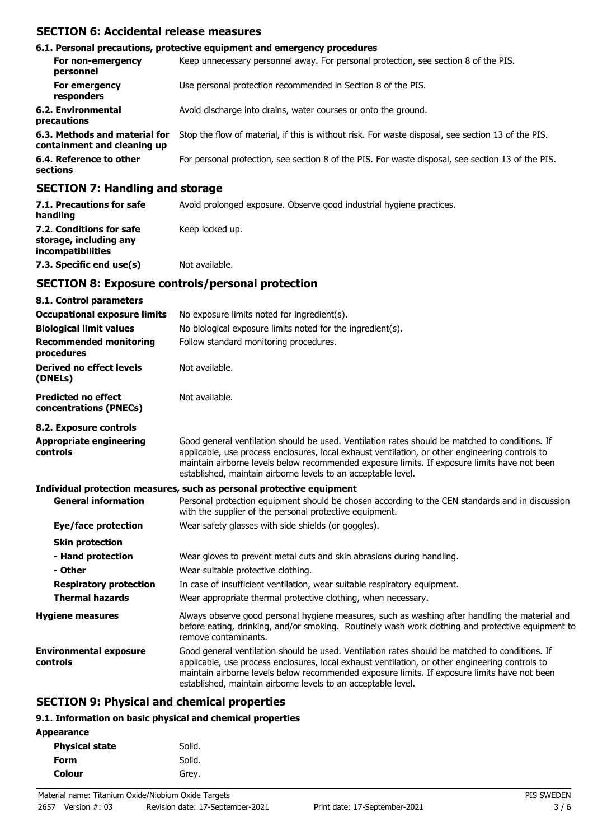### **SECTION 6: Accidental release measures**

| 6.1. Personal precautions, protective equipment and emergency procedures                                                                                                                                                      |                                                                                                    |  |  |
|-------------------------------------------------------------------------------------------------------------------------------------------------------------------------------------------------------------------------------|----------------------------------------------------------------------------------------------------|--|--|
| For non-emergency<br>personnel                                                                                                                                                                                                | Keep unnecessary personnel away. For personal protection, see section 8 of the PIS.                |  |  |
| For emergency<br>responders                                                                                                                                                                                                   | Use personal protection recommended in Section 8 of the PIS.                                       |  |  |
| 6.2. Environmental<br>precautions                                                                                                                                                                                             | Avoid discharge into drains, water courses or onto the ground.                                     |  |  |
| 6.3. Methods and material for<br>containment and cleaning up                                                                                                                                                                  | Stop the flow of material, if this is without risk. For waste disposal, see section 13 of the PIS. |  |  |
| 6.4. Reference to other<br>sections                                                                                                                                                                                           | For personal protection, see section 8 of the PIS. For waste disposal, see section 13 of the PIS.  |  |  |
| $A$ - $A$ - $A$ - $A$ - $A$ - $A$ - $A$ - $A$ - $A$ - $A$ - $A$ - $A$ - $A$ - $A$ - $A$ - $A$ - $A$ - $A$ - $A$ - $A$ - $A$ - $A$ - $A$ - $A$ - $A$ - $A$ - $A$ - $A$ - $A$ - $A$ - $A$ - $A$ - $A$ - $A$ - $A$ - $A$ - $A$ - |                                                                                                    |  |  |

### **SECTION 7: Handling and storage**

| 7.1. Precautions for safe<br>handling                                   | Avoid prolonged exposure. Observe good industrial hygiene practices. |
|-------------------------------------------------------------------------|----------------------------------------------------------------------|
| 7.2. Conditions for safe<br>storage, including any<br>incompatibilities | Keep locked up.                                                      |
| 7.3. Specific end use(s)                                                | Not available.                                                       |

### **SECTION 8: Exposure controls/personal protection**

| 8.1. Control parameters                              |                                                                                                                                                                                                                                                                                                                                                                    |
|------------------------------------------------------|--------------------------------------------------------------------------------------------------------------------------------------------------------------------------------------------------------------------------------------------------------------------------------------------------------------------------------------------------------------------|
| <b>Occupational exposure limits</b>                  | No exposure limits noted for ingredient(s).                                                                                                                                                                                                                                                                                                                        |
| <b>Biological limit values</b>                       | No biological exposure limits noted for the ingredient(s).                                                                                                                                                                                                                                                                                                         |
| <b>Recommended monitoring</b><br>procedures          | Follow standard monitoring procedures.                                                                                                                                                                                                                                                                                                                             |
| Derived no effect levels<br>(DNELs)                  | Not available.                                                                                                                                                                                                                                                                                                                                                     |
| <b>Predicted no effect</b><br>concentrations (PNECs) | Not available.                                                                                                                                                                                                                                                                                                                                                     |
| 8.2. Exposure controls                               |                                                                                                                                                                                                                                                                                                                                                                    |
| <b>Appropriate engineering</b><br>controls           | Good general ventilation should be used. Ventilation rates should be matched to conditions. If<br>applicable, use process enclosures, local exhaust ventilation, or other engineering controls to<br>maintain airborne levels below recommended exposure limits. If exposure limits have not been<br>established, maintain airborne levels to an acceptable level. |
|                                                      | Individual protection measures, such as personal protective equipment                                                                                                                                                                                                                                                                                              |
| <b>General information</b>                           | Personal protection equipment should be chosen according to the CEN standards and in discussion<br>with the supplier of the personal protective equipment.                                                                                                                                                                                                         |
| Eye/face protection                                  | Wear safety glasses with side shields (or goggles).                                                                                                                                                                                                                                                                                                                |
| <b>Skin protection</b>                               |                                                                                                                                                                                                                                                                                                                                                                    |
| - Hand protection<br>- Other                         | Wear gloves to prevent metal cuts and skin abrasions during handling.<br>Wear suitable protective clothing.                                                                                                                                                                                                                                                        |
| <b>Respiratory protection</b>                        | In case of insufficient ventilation, wear suitable respiratory equipment.                                                                                                                                                                                                                                                                                          |
| <b>Thermal hazards</b>                               | Wear appropriate thermal protective clothing, when necessary.                                                                                                                                                                                                                                                                                                      |
| <b>Hygiene measures</b>                              | Always observe good personal hygiene measures, such as washing after handling the material and<br>before eating, drinking, and/or smoking. Routinely wash work clothing and protective equipment to<br>remove contaminants.                                                                                                                                        |
| <b>Environmental exposure</b><br>controls            | Good general ventilation should be used. Ventilation rates should be matched to conditions. If<br>applicable, use process enclosures, local exhaust ventilation, or other engineering controls to<br>maintain airborne levels below recommended exposure limits. If exposure limits have not been<br>established, maintain airborne levels to an acceptable level. |

## **SECTION 9: Physical and chemical properties**

### **9.1. Information on basic physical and chemical properties**

| <b>Appearance</b> |
|-------------------|
|-------------------|

| <b>Physical state</b> | Solid. |
|-----------------------|--------|
| Form                  | Solid. |
| <b>Colour</b>         | Grey.  |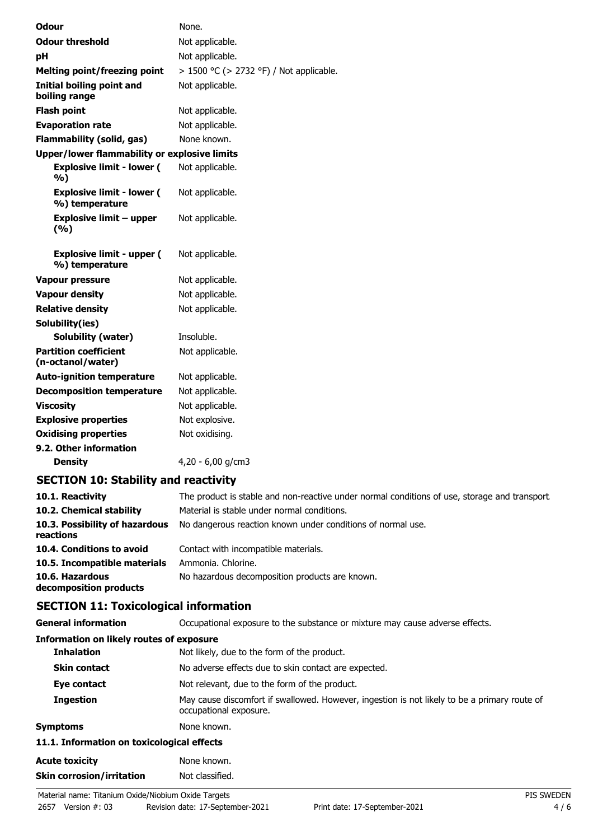| <b>Odour</b>                                        | None.                                   |
|-----------------------------------------------------|-----------------------------------------|
| <b>Odour threshold</b>                              | Not applicable.                         |
| рH                                                  | Not applicable.                         |
| <b>Melting point/freezing point</b>                 | > 1500 °C (> 2732 °F) / Not applicable. |
| <b>Initial boiling point and</b><br>boiling range   | Not applicable.                         |
| <b>Flash point</b>                                  | Not applicable.                         |
| <b>Evaporation rate</b>                             | Not applicable.                         |
| <b>Flammability (solid, gas)</b>                    | None known.                             |
| <b>Upper/lower flammability or explosive limits</b> |                                         |
| <b>Explosive limit - lower (</b><br>%)              | Not applicable.                         |
| <b>Explosive limit - lower (</b><br>%) temperature  | Not applicable.                         |
| <b>Explosive limit - upper</b><br>(%)               | Not applicable.                         |
| <b>Explosive limit - upper (</b><br>%) temperature  | Not applicable.                         |
| <b>Vapour pressure</b>                              | Not applicable.                         |
| <b>Vapour density</b>                               | Not applicable.                         |
| <b>Relative density</b>                             | Not applicable.                         |
| Solubility(ies)                                     |                                         |
| Solubility (water)                                  | Insoluble.                              |
| <b>Partition coefficient</b><br>(n-octanol/water)   | Not applicable.                         |
| <b>Auto-ignition temperature</b>                    | Not applicable.                         |
| <b>Decomposition temperature</b>                    | Not applicable.                         |
| <b>Viscosity</b>                                    | Not applicable.                         |
| <b>Explosive properties</b>                         | Not explosive.                          |
| <b>Oxidising properties</b>                         | Not oxidising.                          |
| 9.2. Other information                              |                                         |

**Density** 4,20 - 6,00 g/cm3

## **SECTION 10: Stability and reactivity**

| 10.1. Reactivity<br>10.2. Chemical stability | The product is stable and non-reactive under normal conditions of use, storage and transport.<br>Material is stable under normal conditions. |
|----------------------------------------------|----------------------------------------------------------------------------------------------------------------------------------------------|
| 10.3. Possibility of hazardous<br>reactions  | No dangerous reaction known under conditions of normal use.                                                                                  |
| 10.4. Conditions to avoid                    | Contact with incompatible materials.                                                                                                         |
| 10.5. Incompatible materials                 | Ammonia. Chlorine.                                                                                                                           |
| 10.6. Hazardous<br>decomposition products    | No hazardous decomposition products are known.                                                                                               |

## **SECTION 11: Toxicological information**

| <b>General information</b>               | Occupational exposure to the substance or mixture may cause adverse effects. |  |
|------------------------------------------|------------------------------------------------------------------------------|--|
| Information on likely routes of exposure |                                                                              |  |
| <b>Inhalation</b>                        | Not likely, due to the form of the product.                                  |  |

| -----------                                | <b>TWO MACTY, and to the form of the producti</b>                                                                      |
|--------------------------------------------|------------------------------------------------------------------------------------------------------------------------|
| <b>Skin contact</b>                        | No adverse effects due to skin contact are expected.                                                                   |
| Eye contact                                | Not relevant, due to the form of the product.                                                                          |
| <b>Ingestion</b>                           | May cause discomfort if swallowed. However, ingestion is not likely to be a primary route of<br>occupational exposure. |
| <b>Symptoms</b>                            | None known.                                                                                                            |
| 11.1. Information on toxicological effects |                                                                                                                        |
| <b>Acute toxicity</b>                      | None known.                                                                                                            |
| <b>Skin corrosion/irritation</b>           | Not classified.                                                                                                        |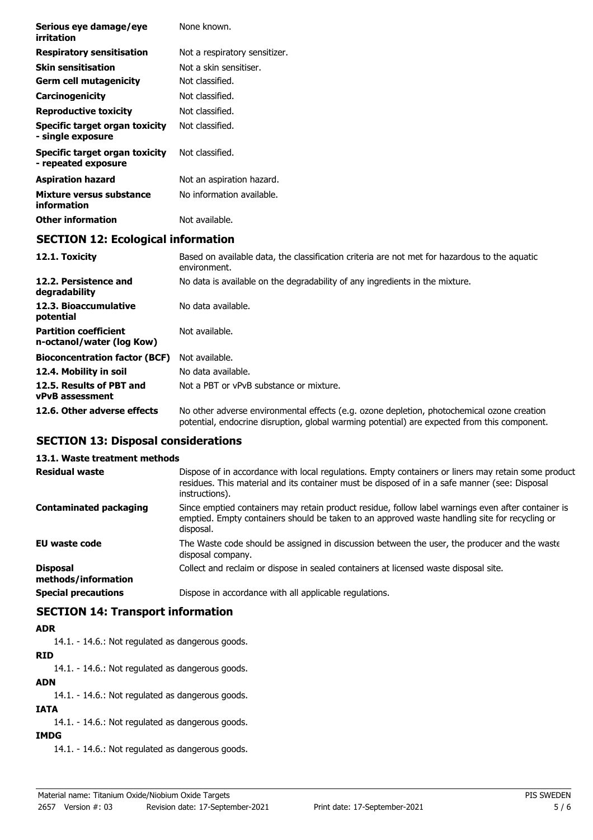| Serious eye damage/eye<br>irritation                      | None known.                                                                                                   |
|-----------------------------------------------------------|---------------------------------------------------------------------------------------------------------------|
| <b>Respiratory sensitisation</b>                          | Not a respiratory sensitizer.                                                                                 |
| <b>Skin sensitisation</b>                                 | Not a skin sensitiser.                                                                                        |
| <b>Germ cell mutagenicity</b>                             | Not classified.                                                                                               |
| Carcinogenicity                                           | Not classified.                                                                                               |
| <b>Reproductive toxicity</b>                              | Not classified.                                                                                               |
| Specific target organ toxicity<br>- single exposure       | Not classified.                                                                                               |
| Specific target organ toxicity<br>- repeated exposure     | Not classified.                                                                                               |
| <b>Aspiration hazard</b>                                  | Not an aspiration hazard.                                                                                     |
| Mixture versus substance<br>information                   | No information available.                                                                                     |
| <b>Other information</b>                                  | Not available.                                                                                                |
| <b>SECTION 12: Ecological information</b>                 |                                                                                                               |
| 12.1. Toxicity                                            | Based on available data, the classification criteria are not met for hazardous to the aquatic<br>environment. |
| 12.2. Persistence and<br>degradability                    | No data is available on the degradability of any ingredients in the mixture.                                  |
| 12.3. Bioaccumulative<br>potential                        | No data available.                                                                                            |
| <b>Partition coefficient</b><br>n-octanol/water (log Kow) | Not available.                                                                                                |
| <b>Bioconcentration factor (BCF)</b>                      | Not available.                                                                                                |

**12.6. Other adverse effects** No other adverse environmental effects (e.g. ozone depletion, photochemical ozone creation

**EU waste code** The Waste code should be assigned in discussion between the user, the producer and the waste

**Disposal** Collect and reclaim or dispose in sealed containers at licensed waste disposal site.

potential, endocrine disruption, global warming potential) are expected from this component.

Dispose of in accordance with local regulations. Empty containers or liners may retain some product residues. This material and its container must be disposed of in a safe manner (see: Disposal

Since emptied containers may retain product residue, follow label warnings even after container is emptied. Empty containers should be taken to an approved waste handling site for recycling or

**12.4. Mobility in soil** No data available.

**SECTION 13: Disposal considerations**

**SECTION 14: Transport information**

14.1. - 14.6.: Not regulated as dangerous goods.

14.1. - 14.6.: Not regulated as dangerous goods.

14.1. - 14.6.: Not regulated as dangerous goods.

14.1. - 14.6.: Not regulated as dangerous goods.

14.1. - 14.6.: Not regulated as dangerous goods.

**13.1. Waste treatment methods**

**Contaminated packaging**

**methods/information**

**ADR**

**RID**

**ADN**

**IATA**

**IMDG**

**vPvB assessment**

**Residual waste**

**12.5. Results of PBT and** Not a PBT or vPvB substance or mixture.

instructions).

disposal company.

**Special precautions Dispose in accordance with all applicable regulations.** 

disposal.